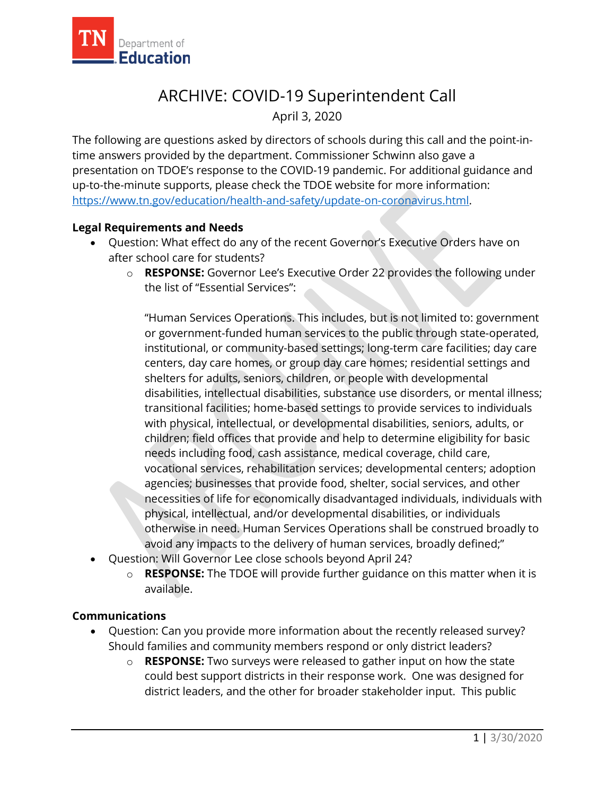

## ARCHIVE: COVID-19 Superintendent Call April 3, 2020

The following are questions asked by directors of schools during this call and the point-intime answers provided by the department. Commissioner Schwinn also gave a presentation on TDOE's response to the COVID-19 pandemic. For additional guidance and up-to-the-minute supports, please check the TDOE website for more information: [https://www.tn.gov/education/health-and-safety/update-on-coronavirus.html.](https://www.tn.gov/education/health-and-safety/update-on-coronavirus.html)

## **Legal Requirements and Needs**

- Question: What effect do any of the recent Governor's Executive Orders have on after school care for students?
	- o **RESPONSE:** Governor Lee's Executive Order 22 provides the following under the list of "Essential Services":

"Human Services Operations. This includes, but is not limited to: government or government-funded human services to the public through state-operated, institutional, or community-based settings; long-term care facilities; day care centers, day care homes, or group day care homes; residential settings and shelters for adults, seniors, children, or people with developmental disabilities, intellectual disabilities, substance use disorders, or mental illness; transitional facilities; home-based settings to provide services to individuals with physical, intellectual, or developmental disabilities, seniors, adults, or children; field offices that provide and help to determine eligibility for basic needs including food, cash assistance, medical coverage, child care, vocational services, rehabilitation services; developmental centers; adoption agencies; businesses that provide food, shelter, social services, and other necessities of life for economically disadvantaged individuals, individuals with physical, intellectual, and/or developmental disabilities, or individuals otherwise in need. Human Services Operations shall be construed broadly to avoid any impacts to the delivery of human services, broadly defined;"

- Question: Will Governor Lee close schools beyond April 24?
	- o **RESPONSE:** The TDOE will provide further guidance on this matter when it is available.

## **Communications**

- Question: Can you provide more information about the recently released survey? Should families and community members respond or only district leaders?
	- o **RESPONSE:** Two surveys were released to gather input on how the state could best support districts in their response work. One was designed for district leaders, and the other for broader stakeholder input. This public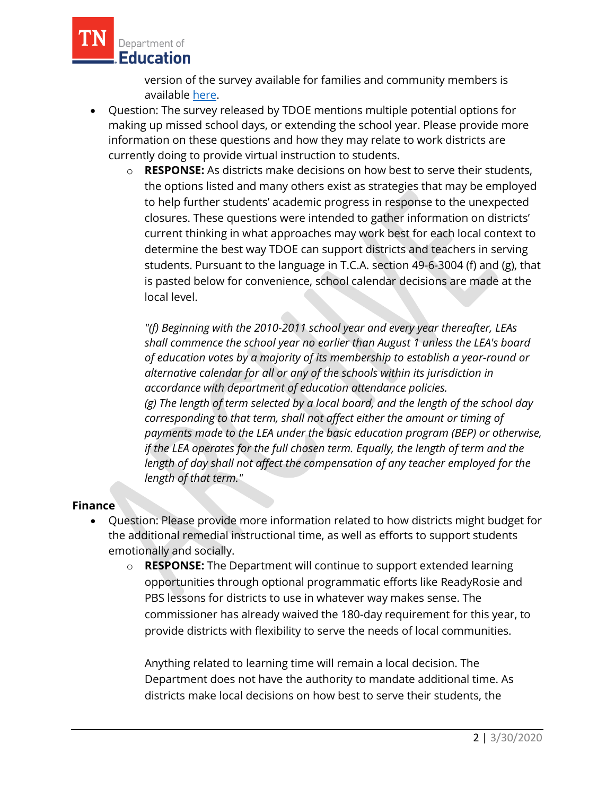

version of the survey available for families and community members is available [here.](https://stateoftennessee.formstack.com/forms/public_cares_survey)

- Question: The survey released by TDOE mentions multiple potential options for making up missed school days, or extending the school year. Please provide more information on these questions and how they may relate to work districts are currently doing to provide virtual instruction to students.
	- o **RESPONSE:** As districts make decisions on how best to serve their students, the options listed and many others exist as strategies that may be employed to help further students' academic progress in response to the unexpected closures. These questions were intended to gather information on districts' current thinking in what approaches may work best for each local context to determine the best way TDOE can support districts and teachers in serving students. Pursuant to the language in T.C.A. section 49-6-3004 (f) and (g), that is pasted below for convenience, school calendar decisions are made at the local level.

*"(f) Beginning with the 2010-2011 school year and every year thereafter, LEAs shall commence the school year no earlier than August 1 unless the LEA's board of education votes by a majority of its membership to establish a year-round or alternative calendar for all or any of the schools within its jurisdiction in accordance with department of education attendance policies. (g) The length of term selected by a local board, and the length of the school day corresponding to that term, shall not affect either the amount or timing of payments made to the LEA under the basic education program (BEP) or otherwise, if the LEA operates for the full chosen term. Equally, the length of term and the length of day shall not affect the compensation of any teacher employed for the length of that term."*

## **Finance**

- Question: Please provide more information related to how districts might budget for the additional remedial instructional time, as well as efforts to support students emotionally and socially.
	- o **RESPONSE:** The Department will continue to support extended learning opportunities through optional programmatic efforts like ReadyRosie and PBS lessons for districts to use in whatever way makes sense. The commissioner has already waived the 180-day requirement for this year, to provide districts with flexibility to serve the needs of local communities.

Anything related to learning time will remain a local decision. The Department does not have the authority to mandate additional time. As districts make local decisions on how best to serve their students, the